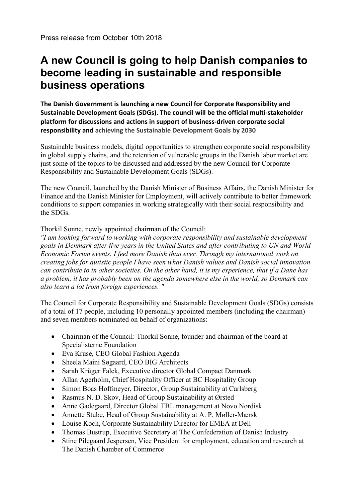## **A new Council is going to help Danish companies to become leading in sustainable and responsible business operations**

**The Danish Government is launching a new Council for Corporate Responsibility and Sustainable Development Goals (SDGs). The council will be the official multi-stakeholder platform for discussions and actions in support of business-driven corporate social responsibility and achieving the Sustainable Development Goals by 2030**

Sustainable business models, digital opportunities to strengthen corporate social responsibility in global supply chains, and the retention of vulnerable groups in the Danish labor market are just some of the topics to be discussed and addressed by the new Council for Corporate Responsibility and Sustainable Development Goals (SDGs).

The new Council, launched by the Danish Minister of Business Affairs, the Danish Minister for Finance and the Danish Minister for Employment, will actively contribute to better framework conditions to support companies in working strategically with their social responsibility and the SDGs.

## Thorkil Sonne, newly appointed chairman of the Council:

*"I am looking forward to working with corporate responsibility and sustainable development goals in Denmark after five years in the United States and after contributing to UN and World Economic Forum events. I feel more Danish than ever. Through my international work on creating jobs for autistic people I have seen what Danish values and Danish social innovation can contribute to in other societies. On the other hand, it is my experience, that if a Dane has a problem, it has probably been on the agenda somewhere else in the world, so Denmark can also learn a lot from foreign experiences. "*

The Council for Corporate Responsibility and Sustainable Development Goals (SDGs) consists of a total of 17 people, including 10 personally appointed members (including the chairman) and seven members nominated on behalf of organizations:

- Chairman of the Council: Thorkil Sonne, founder and chairman of the board at Specialisterne Foundation
- Eva Kruse, CEO Global Fashion Agenda
- Sheela Maini Søgaard, CEO BIG Architects
- Sarah Krüger Falck, Executive director Global Compact Danmark
- Allan Agerholm, Chief Hospitality Officer at BC Hospitality Group
- Simon Boas Hoffmeyer, Director, Group Sustainability at Carlsberg
- Rasmus N. D. Skov, Head of Group Sustainability at Ørsted
- Anne Gadegaard, Director Global TBL management at Novo Nordisk
- Annette Stube, Head of Group Sustainability at A. P. Møller-Mærsk
- Louise Koch, Corporate Sustainability Director for EMEA at Dell
- Thomas Bustrup, Executive Secretary at The Confederation of Danish Industry
- Stine Pilegaard Jespersen, Vice President for employment, education and research at The Danish Chamber of Commerce